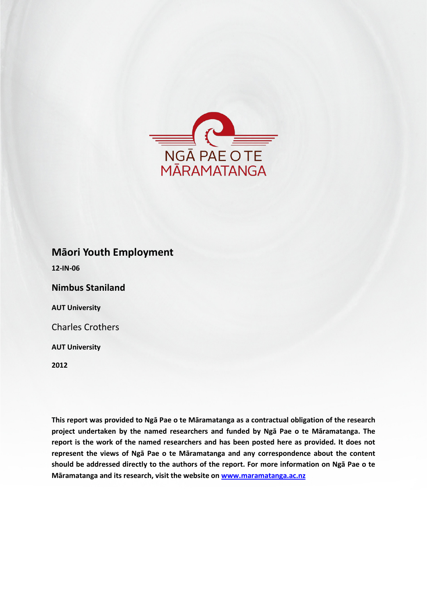

## **Māori Youth Employment**

**12-IN-06**

**Nimbus Staniland**

**AUT University**

Charles Crothers

**AUT University**

**2012**

**This report was provided to Ngā Pae o te Māramatanga as a contractual obligation of the research project undertaken by the named researchers and funded by Ngā Pae o te Māramatanga. The report is the work of the named researchers and has been posted here as provided. It does not represent the views of Ngā Pae o te Māramatanga and any correspondence about the content should be addressed directly to the authors of the report. For more information on Ngā Pae o te Māramatanga and its research, visit the website o[n www.maramatanga.ac.nz](http://www.maramatanga.ac.nz/)**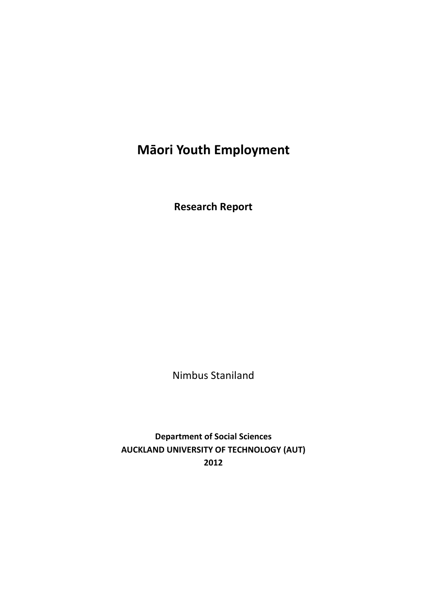# **Māori Youth Employment**

**Research Report**

Nimbus Staniland

**Department of Social Sciences AUCKLAND UNIVERSITY OF TECHNOLOGY (AUT) 2012**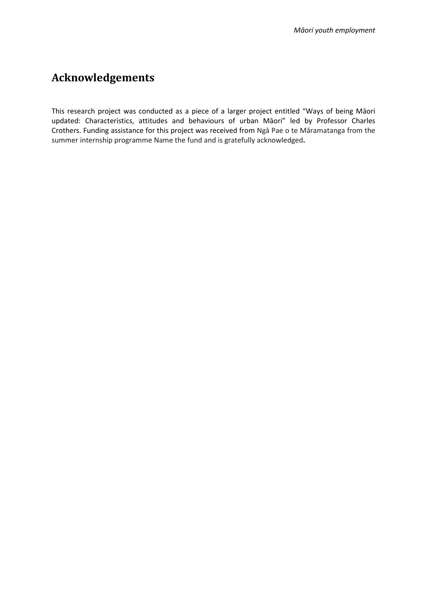## **Acknowledgements**

This research project was conducted as a piece of a larger project entitled "Ways of being Māori updated: Characteristics, attitudes and behaviours of urban Māori" led by Professor Charles Crothers. Funding assistance for this project was received from Ngā Pae o te Māramatanga from the summer internship programme Name the fund and is gratefully acknowledged**.**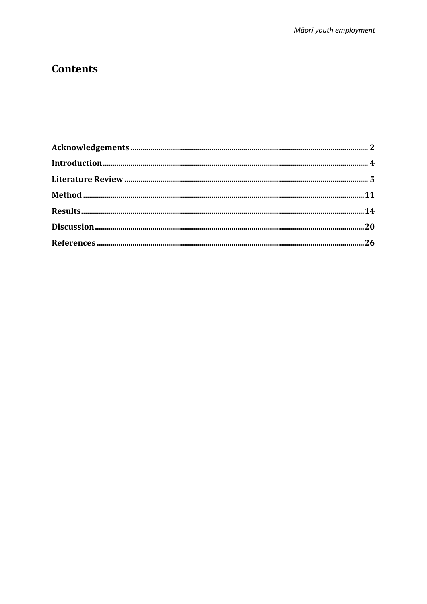## **Contents**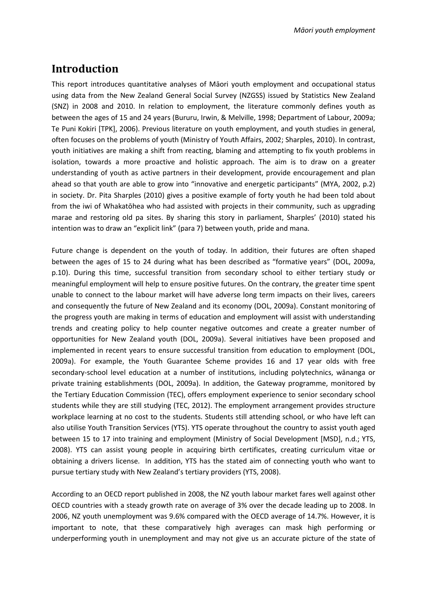## **Introduction**

This report introduces quantitative analyses of Māori youth employment and occupational status using data from the New Zealand General Social Survey (NZGSS) issued by Statistics New Zealand (SNZ) in 2008 and 2010. In relation to employment, the literature commonly defines youth as between the ages of 15 and 24 years (Bururu, Irwin, & Melville, 1998; Department of Labour, 2009a; Te Puni Kokiri [TPK], 2006). Previous literature on youth employment, and youth studies in general, often focuses on the problems of youth (Ministry of Youth Affairs, 2002; Sharples, 2010). In contrast, youth initiatives are making a shift from reacting, blaming and attempting to fix youth problems in isolation, towards a more proactive and holistic approach. The aim is to draw on a greater understanding of youth as active partners in their development, provide encouragement and plan ahead so that youth are able to grow into "innovative and energetic participants" (MYA, 2002, p.2) in society. Dr. Pita Sharples (2010) gives a positive example of forty youth he had been told about from the iwi of Whakatōhea who had assisted with projects in their community, such as upgrading marae and restoring old pa sites. By sharing this story in parliament, Sharples' (2010) stated his intention was to draw an "explicit link" (para 7) between youth, pride and mana.

Future change is dependent on the youth of today. In addition, their futures are often shaped between the ages of 15 to 24 during what has been described as "formative years" (DOL, 2009a, p.10). During this time, successful transition from secondary school to either tertiary study or meaningful employment will help to ensure positive futures. On the contrary, the greater time spent unable to connect to the labour market will have adverse long term impacts on their lives, careers and consequently the future of New Zealand and its economy (DOL, 2009a). Constant monitoring of the progress youth are making in terms of education and employment will assist with understanding trends and creating policy to help counter negative outcomes and create a greater number of opportunities for New Zealand youth (DOL, 2009a). Several initiatives have been proposed and implemented in recent years to ensure successful transition from education to employment (DOL, 2009a). For example, the Youth Guarantee Scheme provides 16 and 17 year olds with free secondary-school level education at a number of institutions, including polytechnics, wānanga or private training establishments (DOL, 2009a). In addition, the Gateway programme, monitored by the Tertiary Education Commission (TEC), offers employment experience to senior secondary school students while they are still studying (TEC, 2012). The employment arrangement provides structure workplace learning at no cost to the students. Students still attending school, or who have left can also utilise Youth Transition Services (YTS). YTS operate throughout the country to assist youth aged between 15 to 17 into training and employment (Ministry of Social Development [MSD], n.d.; YTS, 2008). YTS can assist young people in acquiring birth certificates, creating curriculum vitae or obtaining a drivers license. In addition, YTS has the stated aim of connecting youth who want to pursue tertiary study with New Zealand's tertiary providers (YTS, 2008).

According to an OECD report published in 2008, the NZ youth labour market fares well against other OECD countries with a steady growth rate on average of 3% over the decade leading up to 2008. In 2006, NZ youth unemployment was 9.6% compared with the OECD average of 14.7%. However, it is important to note, that these comparatively high averages can mask high performing or underperforming youth in unemployment and may not give us an accurate picture of the state of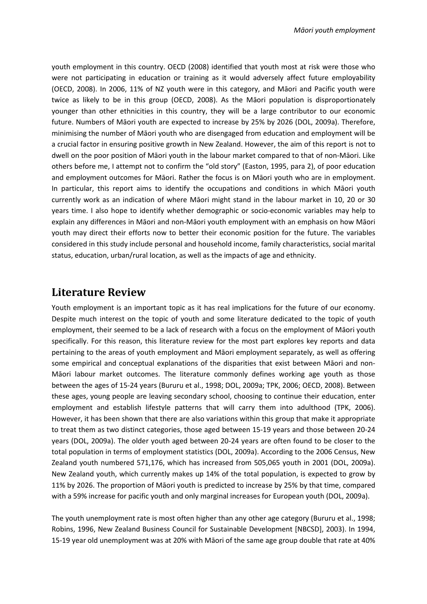youth employment in this country. OECD (2008) identified that youth most at risk were those who were not participating in education or training as it would adversely affect future employability (OECD, 2008). In 2006, 11% of NZ youth were in this category, and Māori and Pacific youth were twice as likely to be in this group (OECD, 2008). As the Māori population is disproportionately younger than other ethnicities in this country, they will be a large contributor to our economic future. Numbers of Māori youth are expected to increase by 25% by 2026 (DOL, 2009a). Therefore, minimising the number of Māori youth who are disengaged from education and employment will be a crucial factor in ensuring positive growth in New Zealand. However, the aim of this report is not to dwell on the poor position of Māori youth in the labour market compared to that of non-Māori. Like others before me, I attempt not to confirm the "old story" (Easton, 1995, para 2), of poor education and employment outcomes for Māori. Rather the focus is on Māori youth who are in employment. In particular, this report aims to identify the occupations and conditions in which Māori youth currently work as an indication of where Māori might stand in the labour market in 10, 20 or 30 years time. I also hope to identify whether demographic or socio-economic variables may help to explain any differences in Māori and non-Māori youth employment with an emphasis on how Māori youth may direct their efforts now to better their economic position for the future. The variables considered in this study include personal and household income, family characteristics, social marital status, education, urban/rural location, as well as the impacts of age and ethnicity.

### **Literature Review**

Youth employment is an important topic as it has real implications for the future of our economy. Despite much interest on the topic of youth and some literature dedicated to the topic of youth employment, their seemed to be a lack of research with a focus on the employment of Māori youth specifically. For this reason, this literature review for the most part explores key reports and data pertaining to the areas of youth employment and Māori employment separately, as well as offering some empirical and conceptual explanations of the disparities that exist between Māori and non-Māori labour market outcomes. The literature commonly defines working age youth as those between the ages of 15-24 years (Bururu et al., 1998; DOL, 2009a; TPK, 2006; OECD, 2008). Between these ages, young people are leaving secondary school, choosing to continue their education, enter employment and establish lifestyle patterns that will carry them into adulthood (TPK, 2006). However, it has been shown that there are also variations within this group that make it appropriate to treat them as two distinct categories, those aged between 15-19 years and those between 20-24 years (DOL, 2009a). The older youth aged between 20-24 years are often found to be closer to the total population in terms of employment statistics (DOL, 2009a). According to the 2006 Census, New Zealand youth numbered 571,176, which has increased from 505,065 youth in 2001 (DOL, 2009a). New Zealand youth, which currently makes up 14% of the total population, is expected to grow by 11% by 2026. The proportion of Māori youth is predicted to increase by 25% by that time, compared with a 59% increase for pacific youth and only marginal increases for European youth (DOL, 2009a).

The youth unemployment rate is most often higher than any other age category (Bururu et al., 1998; Robins, 1996, New Zealand Business Council for Sustainable Development [NBCSD], 2003). In 1994, 15-19 year old unemployment was at 20% with Māori of the same age group double that rate at 40%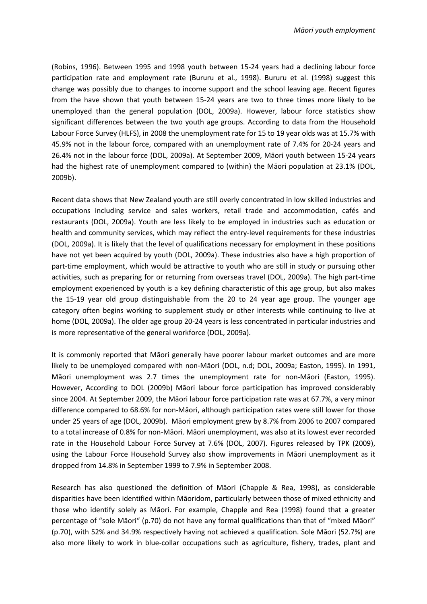(Robins, 1996). Between 1995 and 1998 youth between 15-24 years had a declining labour force participation rate and employment rate (Bururu et al., 1998). Bururu et al. (1998) suggest this change was possibly due to changes to income support and the school leaving age. Recent figures from the have shown that youth between 15-24 years are two to three times more likely to be unemployed than the general population (DOL, 2009a). However, labour force statistics show significant differences between the two youth age groups. According to data from the Household Labour Force Survey (HLFS), in 2008 the unemployment rate for 15 to 19 year olds was at 15.7% with 45.9% not in the labour force, compared with an unemployment rate of 7.4% for 20-24 years and 26.4% not in the labour force (DOL, 2009a). At September 2009, Māori youth between 15-24 years had the highest rate of unemployment compared to (within) the Māori population at 23.1% (DOL, 2009b).

Recent data shows that New Zealand youth are still overly concentrated in low skilled industries and occupations including service and sales workers, retail trade and accommodation, cafés and restaurants (DOL, 2009a). Youth are less likely to be employed in industries such as education or health and community services, which may reflect the entry-level requirements for these industries (DOL, 2009a). It is likely that the level of qualifications necessary for employment in these positions have not yet been acquired by youth (DOL, 2009a). These industries also have a high proportion of part-time employment, which would be attractive to youth who are still in study or pursuing other activities, such as preparing for or returning from overseas travel (DOL, 2009a). The high part-time employment experienced by youth is a key defining characteristic of this age group, but also makes the 15-19 year old group distinguishable from the 20 to 24 year age group. The younger age category often begins working to supplement study or other interests while continuing to live at home (DOL, 2009a). The older age group 20-24 years is less concentrated in particular industries and is more representative of the general workforce (DOL, 2009a).

It is commonly reported that Māori generally have poorer labour market outcomes and are more likely to be unemployed compared with non-Māori (DOL, n.d; DOL, 2009a; Easton, 1995). In 1991, Māori unemployment was 2.7 times the unemployment rate for non-Māori (Easton, 1995). However, According to DOL (2009b) Māori labour force participation has improved considerably since 2004. At September 2009, the Māori labour force participation rate was at 67.7%, a very minor difference compared to 68.6% for non-Māori, although participation rates were still lower for those under 25 years of age (DOL, 2009b). Māori employment grew by 8.7% from 2006 to 2007 compared to a total increase of 0.8% for non-Māori. Māori unemployment, was also at its lowest ever recorded rate in the Household Labour Force Survey at 7.6% (DOL, 2007). Figures released by TPK (2009), using the Labour Force Household Survey also show improvements in Māori unemployment as it dropped from 14.8% in September 1999 to 7.9% in September 2008.

Research has also questioned the definition of Māori (Chapple & Rea, 1998), as considerable disparities have been identified within Māoridom, particularly between those of mixed ethnicity and those who identify solely as Māori. For example, Chapple and Rea (1998) found that a greater percentage of "sole Māori" (p.70) do not have any formal qualifications than that of "mixed Māori" (p.70), with 52% and 34.9% respectively having not achieved a qualification. Sole Māori (52.7%) are also more likely to work in blue-collar occupations such as agriculture, fishery, trades, plant and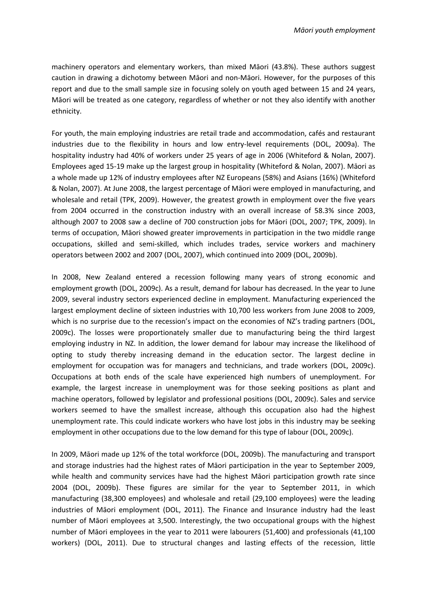machinery operators and elementary workers, than mixed Māori (43.8%). These authors suggest caution in drawing a dichotomy between Māori and non-Māori. However, for the purposes of this report and due to the small sample size in focusing solely on youth aged between 15 and 24 years, Māori will be treated as one category, regardless of whether or not they also identify with another ethnicity.

For youth, the main employing industries are retail trade and accommodation, cafés and restaurant industries due to the flexibility in hours and low entry-level requirements (DOL, 2009a). The hospitality industry had 40% of workers under 25 years of age in 2006 (Whiteford & Nolan, 2007). Employees aged 15-19 make up the largest group in hospitality (Whiteford & Nolan, 2007). Māori as a whole made up 12% of industry employees after NZ Europeans (58%) and Asians (16%) (Whiteford & Nolan, 2007). At June 2008, the largest percentage of Māori were employed in manufacturing, and wholesale and retail (TPK, 2009). However, the greatest growth in employment over the five years from 2004 occurred in the construction industry with an overall increase of 58.3% since 2003, although 2007 to 2008 saw a decline of 700 construction jobs for Māori (DOL, 2007; TPK, 2009). In terms of occupation, Māori showed greater improvements in participation in the two middle range occupations, skilled and semi-skilled, which includes trades, service workers and machinery operators between 2002 and 2007 (DOL, 2007), which continued into 2009 (DOL, 2009b).

In 2008, New Zealand entered a recession following many years of strong economic and employment growth (DOL, 2009c). As a result, demand for labour has decreased. In the year to June 2009, several industry sectors experienced decline in employment. Manufacturing experienced the largest employment decline of sixteen industries with 10,700 less workers from June 2008 to 2009, which is no surprise due to the recession's impact on the economies of NZ's trading partners (DOL, 2009c). The losses were proportionately smaller due to manufacturing being the third largest employing industry in NZ. In addition, the lower demand for labour may increase the likelihood of opting to study thereby increasing demand in the education sector. The largest decline in employment for occupation was for managers and technicians, and trade workers (DOL, 2009c). Occupations at both ends of the scale have experienced high numbers of unemployment. For example, the largest increase in unemployment was for those seeking positions as plant and machine operators, followed by legislator and professional positions (DOL, 2009c). Sales and service workers seemed to have the smallest increase, although this occupation also had the highest unemployment rate. This could indicate workers who have lost jobs in this industry may be seeking employment in other occupations due to the low demand for this type of labour (DOL, 2009c).

In 2009, Māori made up 12% of the total workforce (DOL, 2009b). The manufacturing and transport and storage industries had the highest rates of Māori participation in the year to September 2009, while health and community services have had the highest Māori participation growth rate since 2004 (DOL, 2009b). These figures are similar for the year to September 2011, in which manufacturing (38,300 employees) and wholesale and retail (29,100 employees) were the leading industries of Māori employment (DOL, 2011). The Finance and Insurance industry had the least number of Māori employees at 3,500. Interestingly, the two occupational groups with the highest number of Māori employees in the year to 2011 were labourers (51,400) and professionals (41,100 workers) (DOL, 2011). Due to structural changes and lasting effects of the recession, little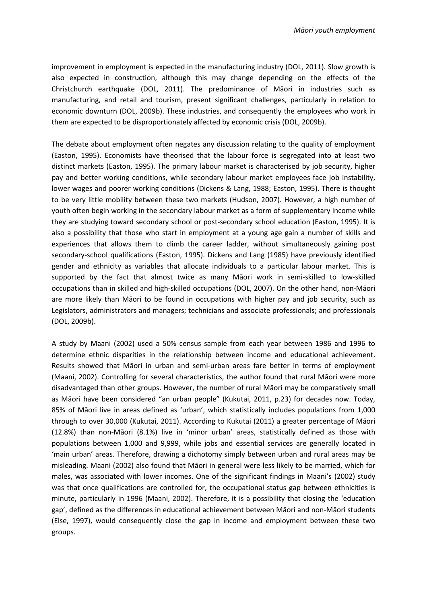improvement in employment is expected in the manufacturing industry (DOL, 2011). Slow growth is also expected in construction, although this may change depending on the effects of the Christchurch earthquake (DOL, 2011). The predominance of Māori in industries such as manufacturing, and retail and tourism, present significant challenges, particularly in relation to economic downturn (DOL, 2009b). These industries, and consequently the employees who work in them are expected to be disproportionately affected by economic crisis (DOL, 2009b).

The debate about employment often negates any discussion relating to the quality of employment (Easton, 1995). Economists have theorised that the labour force is segregated into at least two distinct markets (Easton, 1995). The primary labour market is characterised by job security, higher pay and better working conditions, while secondary labour market employees face job instability, lower wages and poorer working conditions (Dickens & Lang, 1988; Easton, 1995). There is thought to be very little mobility between these two markets (Hudson, 2007). However, a high number of youth often begin working in the secondary labour market as a form of supplementary income while they are studying toward secondary school or post-secondary school education (Easton, 1995). It is also a possibility that those who start in employment at a young age gain a number of skills and experiences that allows them to climb the career ladder, without simultaneously gaining post secondary-school qualifications (Easton, 1995). Dickens and Lang (1985) have previously identified gender and ethnicity as variables that allocate individuals to a particular labour market. This is supported by the fact that almost twice as many Māori work in semi-skilled to low-skilled occupations than in skilled and high-skilled occupations (DOL, 2007). On the other hand, non-Māori are more likely than Māori to be found in occupations with higher pay and job security, such as Legislators, administrators and managers; technicians and associate professionals; and professionals (DOL, 2009b).

A study by Maani (2002) used a 50% census sample from each year between 1986 and 1996 to determine ethnic disparities in the relationship between income and educational achievement. Results showed that Māori in urban and semi-urban areas fare better in terms of employment (Maani, 2002). Controlling for several characteristics, the author found that rural Māori were more disadvantaged than other groups. However, the number of rural Māori may be comparatively small as Māori have been considered "an urban people" (Kukutai, 2011, p.23) for decades now. Today, 85% of Māori live in areas defined as 'urban', which statistically includes populations from 1,000 through to over 30,000 (Kukutai, 2011). According to Kukutai (2011) a greater percentage of Māori (12.8%) than non-Māori (8.1%) live in 'minor urban' areas, statistically defined as those with populations between 1,000 and 9,999, while jobs and essential services are generally located in 'main urban' areas. Therefore, drawing a dichotomy simply between urban and rural areas may be misleading. Maani (2002) also found that Māori in general were less likely to be married, which for males, was associated with lower incomes. One of the significant findings in Maani's (2002) study was that once qualifications are controlled for, the occupational status gap between ethnicities is minute, particularly in 1996 (Maani, 2002). Therefore, it is a possibility that closing the 'education gap', defined as the differences in educational achievement between Māori and non-Māori students (Else, 1997), would consequently close the gap in income and employment between these two groups.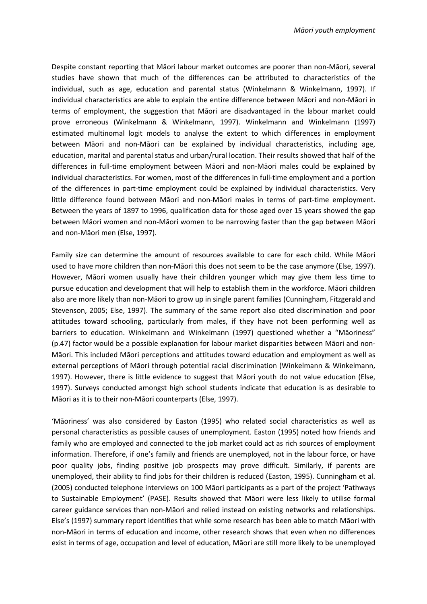Despite constant reporting that Māori labour market outcomes are poorer than non-Māori, several studies have shown that much of the differences can be attributed to characteristics of the individual, such as age, education and parental status (Winkelmann & Winkelmann, 1997). If individual characteristics are able to explain the entire difference between Māori and non-Māori in terms of employment, the suggestion that Māori are disadvantaged in the labour market could prove erroneous (Winkelmann & Winkelmann, 1997). Winkelmann and Winkelmann (1997) estimated multinomal logit models to analyse the extent to which differences in employment between Māori and non-Māori can be explained by individual characteristics, including age, education, marital and parental status and urban/rural location. Their results showed that half of the differences in full-time employment between Māori and non-Māori males could be explained by individual characteristics. For women, most of the differences in full-time employment and a portion of the differences in part-time employment could be explained by individual characteristics. Very little difference found between Māori and non-Māori males in terms of part-time employment. Between the years of 1897 to 1996, qualification data for those aged over 15 years showed the gap between Māori women and non-Māori women to be narrowing faster than the gap between Māori and non-Māori men (Else, 1997).

Family size can determine the amount of resources available to care for each child. While Māori used to have more children than non-Māori this does not seem to be the case anymore (Else, 1997). However, Māori women usually have their children younger which may give them less time to pursue education and development that will help to establish them in the workforce. Māori children also are more likely than non-Māori to grow up in single parent families (Cunningham, Fitzgerald and Stevenson, 2005; Else, 1997). The summary of the same report also cited discrimination and poor attitudes toward schooling, particularly from males, if they have not been performing well as barriers to education. Winkelmann and Winkelmann (1997) questioned whether a "Māoriness" (p.47) factor would be a possible explanation for labour market disparities between Māori and non-Māori. This included Māori perceptions and attitudes toward education and employment as well as external perceptions of Māori through potential racial discrimination (Winkelmann & Winkelmann, 1997). However, there is little evidence to suggest that Māori youth do not value education (Else, 1997). Surveys conducted amongst high school students indicate that education is as desirable to Māori as it is to their non-Māori counterparts (Else, 1997).

'Māoriness' was also considered by Easton (1995) who related social characteristics as well as personal characteristics as possible causes of unemployment. Easton (1995) noted how friends and family who are employed and connected to the job market could act as rich sources of employment information. Therefore, if one's family and friends are unemployed, not in the labour force, or have poor quality jobs, finding positive job prospects may prove difficult. Similarly, if parents are unemployed, their ability to find jobs for their children is reduced (Easton, 1995). Cunningham et al. (2005) conducted telephone interviews on 100 Māori participants as a part of the project 'Pathways to Sustainable Employment' (PASE). Results showed that Māori were less likely to utilise formal career guidance services than non-Māori and relied instead on existing networks and relationships. Else's (1997) summary report identifies that while some research has been able to match Māori with non-Māori in terms of education and income, other research shows that even when no differences exist in terms of age, occupation and level of education, Māori are still more likely to be unemployed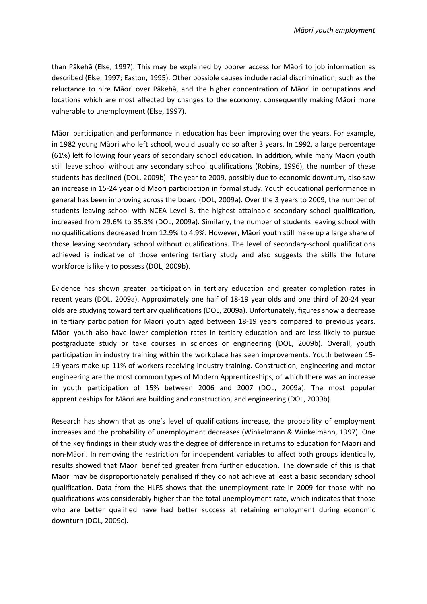than Pākehā (Else, 1997). This may be explained by poorer access for Māori to job information as described (Else, 1997; Easton, 1995). Other possible causes include racial discrimination, such as the reluctance to hire Māori over Pākehā, and the higher concentration of Māori in occupations and locations which are most affected by changes to the economy, consequently making Māori more vulnerable to unemployment (Else, 1997).

Māori participation and performance in education has been improving over the years. For example, in 1982 young Māori who left school, would usually do so after 3 years. In 1992, a large percentage (61%) left following four years of secondary school education. In addition, while many Māori youth still leave school without any secondary school qualifications (Robins, 1996), the number of these students has declined (DOL, 2009b). The year to 2009, possibly due to economic downturn, also saw an increase in 15-24 year old Māori participation in formal study. Youth educational performance in general has been improving across the board (DOL, 2009a). Over the 3 years to 2009, the number of students leaving school with NCEA Level 3, the highest attainable secondary school qualification, increased from 29.6% to 35.3% (DOL, 2009a). Similarly, the number of students leaving school with no qualifications decreased from 12.9% to 4.9%. However, Māori youth still make up a large share of those leaving secondary school without qualifications. The level of secondary-school qualifications achieved is indicative of those entering tertiary study and also suggests the skills the future workforce is likely to possess (DOL, 2009b).

Evidence has shown greater participation in tertiary education and greater completion rates in recent years (DOL, 2009a). Approximately one half of 18-19 year olds and one third of 20-24 year olds are studying toward tertiary qualifications (DOL, 2009a). Unfortunately, figures show a decrease in tertiary participation for Māori youth aged between 18-19 years compared to previous years. Māori youth also have lower completion rates in tertiary education and are less likely to pursue postgraduate study or take courses in sciences or engineering (DOL, 2009b). Overall, youth participation in industry training within the workplace has seen improvements. Youth between 15- 19 years make up 11% of workers receiving industry training. Construction, engineering and motor engineering are the most common types of Modern Apprenticeships, of which there was an increase in youth participation of 15% between 2006 and 2007 (DOL, 2009a). The most popular apprenticeships for Māori are building and construction, and engineering (DOL, 2009b).

Research has shown that as one's level of qualifications increase, the probability of employment increases and the probability of unemployment decreases (Winkelmann & Winkelmann, 1997). One of the key findings in their study was the degree of difference in returns to education for Māori and non-Māori. In removing the restriction for independent variables to affect both groups identically, results showed that Māori benefited greater from further education. The downside of this is that Māori may be disproportionately penalised if they do not achieve at least a basic secondary school qualification. Data from the HLFS shows that the unemployment rate in 2009 for those with no qualifications was considerably higher than the total unemployment rate, which indicates that those who are better qualified have had better success at retaining employment during economic downturn (DOL, 2009c).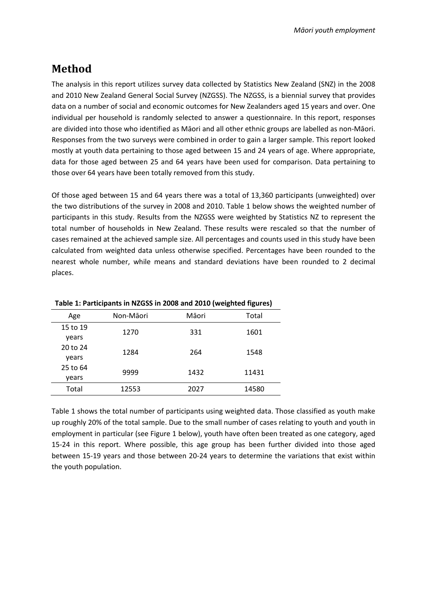## **Method**

The analysis in this report utilizes survey data collected by Statistics New Zealand (SNZ) in the 2008 and 2010 New Zealand General Social Survey (NZGSS). The NZGSS, is a biennial survey that provides data on a number of social and economic outcomes for New Zealanders aged 15 years and over. One individual per household is randomly selected to answer a questionnaire. In this report, responses are divided into those who identified as Māori and all other ethnic groups are labelled as non-Māori. Responses from the two surveys were combined in order to gain a larger sample. This report looked mostly at youth data pertaining to those aged between 15 and 24 years of age. Where appropriate, data for those aged between 25 and 64 years have been used for comparison. Data pertaining to those over 64 years have been totally removed from this study.

Of those aged between 15 and 64 years there was a total of 13,360 participants (unweighted) over the two distributions of the survey in 2008 and 2010. Table 1 below shows the weighted number of participants in this study. Results from the NZGSS were weighted by Statistics NZ to represent the total number of households in New Zealand. These results were rescaled so that the number of cases remained at the achieved sample size. All percentages and counts used in this study have been calculated from weighted data unless otherwise specified. Percentages have been rounded to the nearest whole number, while means and standard deviations have been rounded to 2 decimal places.

| Age      | Non-Māori | Māori | Total |
|----------|-----------|-------|-------|
| 15 to 19 | 1270      | 331   | 1601  |
| years    |           |       |       |
| 20 to 24 | 1284      | 264   | 1548  |
| years    |           |       |       |
| 25 to 64 | 9999      | 1432  | 11431 |
| vears    |           |       |       |
| Total    | 12553     | 2027  | 14580 |

**Table 1: Participants in NZGSS in 2008 and 2010 (weighted figures)**

Table 1 shows the total number of participants using weighted data. Those classified as youth make up roughly 20% of the total sample. Due to the small number of cases relating to youth and youth in employment in particular (see Figure 1 below), youth have often been treated as one category, aged 15-24 in this report. Where possible, this age group has been further divided into those aged between 15-19 years and those between 20-24 years to determine the variations that exist within the youth population.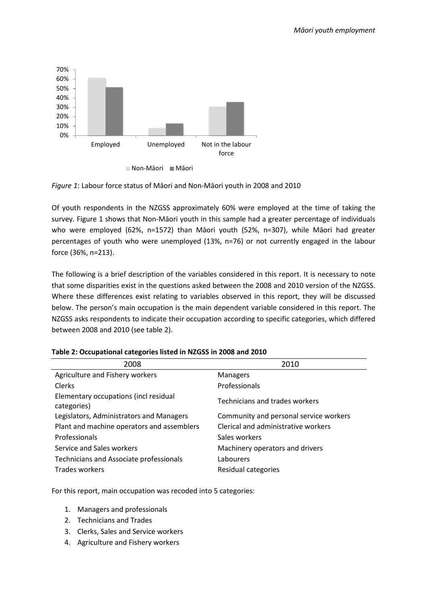



Of youth respondents in the NZGSS approximately 60% were employed at the time of taking the survey. Figure 1 shows that Non-Māori youth in this sample had a greater percentage of individuals who were employed (62%, n=1572) than Māori youth (52%, n=307), while Māori had greater percentages of youth who were unemployed (13%, n=76) or not currently engaged in the labour force (36%, n=213).

The following is a brief description of the variables considered in this report. It is necessary to note that some disparities exist in the questions asked between the 2008 and 2010 version of the NZGSS. Where these differences exist relating to variables observed in this report, they will be discussed below. The person's main occupation is the main dependent variable considered in this report. The NZGSS asks respondents to indicate their occupation according to specific categories, which differed between 2008 and 2010 (see table 2).

| 2008                                                 | 2010                                   |
|------------------------------------------------------|----------------------------------------|
| Agriculture and Fishery workers                      | <b>Managers</b>                        |
| Clerks                                               | Professionals                          |
| Elementary occupations (incl residual<br>categories) | Technicians and trades workers         |
| Legislators, Administrators and Managers             | Community and personal service workers |
| Plant and machine operators and assemblers           | Clerical and administrative workers    |
| Professionals                                        | Sales workers                          |
| Service and Sales workers                            | Machinery operators and drivers        |
| Technicians and Associate professionals              | Labourers                              |
| Trades workers                                       | Residual categories                    |

|  | Table 2: Occupational categories listed in NZGSS in 2008 and 2010 |
|--|-------------------------------------------------------------------|
|--|-------------------------------------------------------------------|

For this report, main occupation was recoded into 5 categories:

- 1. Managers and professionals
- 2. Technicians and Trades
- 3. Clerks, Sales and Service workers
- 4. Agriculture and Fishery workers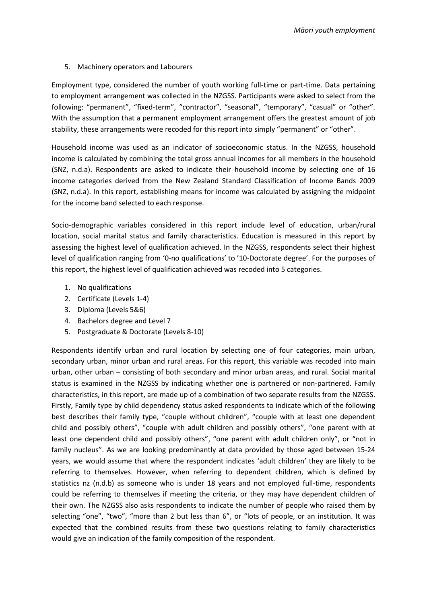#### 5. Machinery operators and Labourers

Employment type, considered the number of youth working full-time or part-time. Data pertaining to employment arrangement was collected in the NZGSS. Participants were asked to select from the following: "permanent", "fixed-term", "contractor", "seasonal", "temporary", "casual" or "other". With the assumption that a permanent employment arrangement offers the greatest amount of job stability, these arrangements were recoded for this report into simply "permanent" or "other".

Household income was used as an indicator of socioeconomic status. In the NZGSS, household income is calculated by combining the total gross annual incomes for all members in the household (SNZ, n.d.a). Respondents are asked to indicate their household income by selecting one of 16 income categories derived from the New Zealand Standard Classification of Income Bands 2009 (SNZ, n.d.a). In this report, establishing means for income was calculated by assigning the midpoint for the income band selected to each response.

Socio-demographic variables considered in this report include level of education, urban/rural location, social marital status and family characteristics. Education is measured in this report by assessing the highest level of qualification achieved. In the NZGSS, respondents select their highest level of qualification ranging from '0-no qualifications' to '10-Doctorate degree'. For the purposes of this report, the highest level of qualification achieved was recoded into 5 categories.

- 1. No qualifications
- 2. Certificate (Levels 1-4)
- 3. Diploma (Levels 5&6)
- 4. Bachelors degree and Level 7
- 5. Postgraduate & Doctorate (Levels 8-10)

Respondents identify urban and rural location by selecting one of four categories, main urban, secondary urban, minor urban and rural areas. For this report, this variable was recoded into main urban, other urban – consisting of both secondary and minor urban areas, and rural. Social marital status is examined in the NZGSS by indicating whether one is partnered or non-partnered. Family characteristics, in this report, are made up of a combination of two separate results from the NZGSS. Firstly, Family type by child dependency status asked respondents to indicate which of the following best describes their family type, "couple without children", "couple with at least one dependent child and possibly others", "couple with adult children and possibly others", "one parent with at least one dependent child and possibly others", "one parent with adult children only", or "not in family nucleus". As we are looking predominantly at data provided by those aged between 15-24 years, we would assume that where the respondent indicates 'adult children' they are likely to be referring to themselves. However, when referring to dependent children, which is defined by statistics nz (n.d.b) as someone who is under 18 years and not employed full-time, respondents could be referring to themselves if meeting the criteria, or they may have dependent children of their own. The NZGSS also asks respondents to indicate the number of people who raised them by selecting "one", "two", "more than 2 but less than 6", or "lots of people, or an institution. It was expected that the combined results from these two questions relating to family characteristics would give an indication of the family composition of the respondent.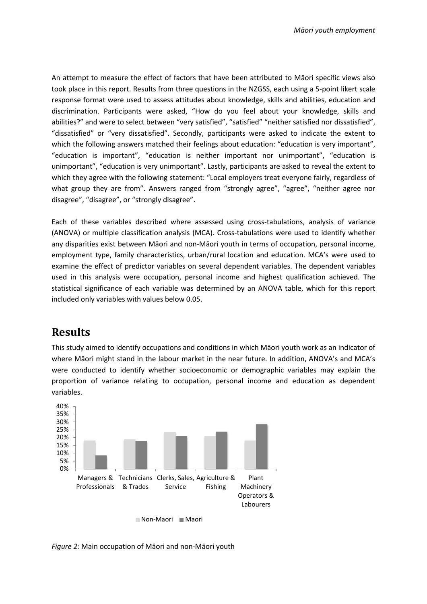An attempt to measure the effect of factors that have been attributed to Māori specific views also took place in this report. Results from three questions in the NZGSS, each using a 5-point likert scale response format were used to assess attitudes about knowledge, skills and abilities, education and discrimination. Participants were asked, "How do you feel about your knowledge, skills and abilities?" and were to select between "very satisfied", "satisfied" "neither satisfied nor dissatisfied", "dissatisfied" or "very dissatisfied". Secondly, participants were asked to indicate the extent to which the following answers matched their feelings about education: "education is very important", "education is important", "education is neither important nor unimportant", "education is unimportant", "education is very unimportant". Lastly, participants are asked to reveal the extent to which they agree with the following statement: "Local employers treat everyone fairly, regardless of what group they are from". Answers ranged from "strongly agree", "agree", "neither agree nor disagree", "disagree", or "strongly disagree".

Each of these variables described where assessed using cross-tabulations, analysis of variance (ANOVA) or multiple classification analysis (MCA). Cross-tabulations were used to identify whether any disparities exist between Māori and non-Māori youth in terms of occupation, personal income, employment type, family characteristics, urban/rural location and education. MCA's were used to examine the effect of predictor variables on several dependent variables. The dependent variables used in this analysis were occupation, personal income and highest qualification achieved. The statistical significance of each variable was determined by an ANOVA table, which for this report included only variables with values below 0.05.

## **Results**

This study aimed to identify occupations and conditions in which Māori youth work as an indicator of where Māori might stand in the labour market in the near future. In addition, ANOVA's and MCA's were conducted to identify whether socioeconomic or demographic variables may explain the proportion of variance relating to occupation, personal income and education as dependent variables.



■Non-Maori Maori

*Figure 2:* Main occupation of Māori and non-Māori youth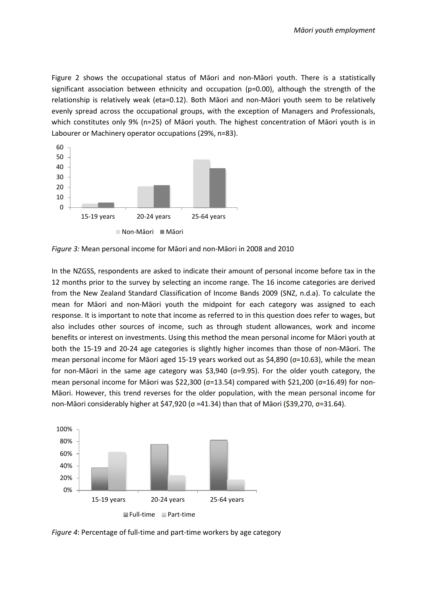Figure 2 shows the occupational status of Māori and non-Māori youth. There is a statistically significant association between ethnicity and occupation (p=0.00), although the strength of the relationship is relatively weak (eta=0.12). Both Māori and non-Māori youth seem to be relatively evenly spread across the occupational groups, with the exception of Managers and Professionals, which constitutes only 9% (n=25) of Māori youth. The highest concentration of Māori youth is in Labourer or Machinery operator occupations (29%, n=83).



*Figure 3:* Mean personal income for Māori and non-Māori in 2008 and 2010

In the NZGSS, respondents are asked to indicate their amount of personal income before tax in the 12 months prior to the survey by selecting an income range. The 16 income categories are derived from the New Zealand Standard Classification of Income Bands 2009 (SNZ, n.d.a). To calculate the mean for Māori and non-Māori youth the midpoint for each category was assigned to each response. It is important to note that income as referred to in this question does refer to wages, but also includes other sources of income, such as through student allowances, work and income benefits or interest on investments. Using this method the mean personal income for Māori youth at both the 15-19 and 20-24 age categories is slightly higher incomes than those of non-Māori. The mean personal income for Māori aged 15-19 years worked out as \$4,890 (σ=10.63), while the mean for non-Māori in the same age category was \$3,940 ( $\sigma$ =9.95). For the older youth category, the mean personal income for Māori was \$22,300 ( $\sigma$ =13.54) compared with \$21,200 ( $\sigma$ =16.49) for non-Māori. However, this trend reverses for the older population, with the mean personal income for non-Māori considerably higher at \$47,920 (σ =41.34) than that of Māori (\$39,270, σ=31.64).



*Figure 4*: Percentage of full-time and part-time workers by age category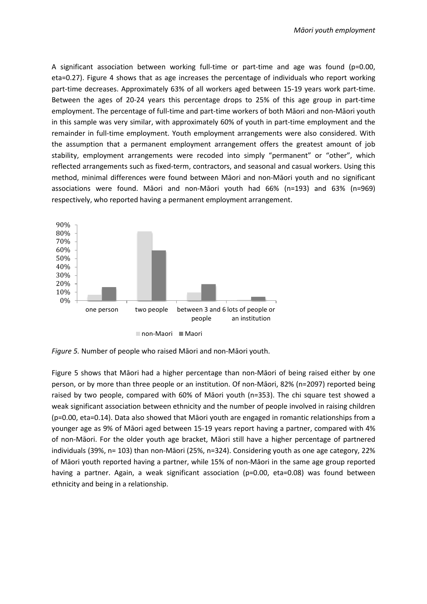A significant association between working full-time or part-time and age was found (p=0.00, eta=0.27). Figure 4 shows that as age increases the percentage of individuals who report working part-time decreases. Approximately 63% of all workers aged between 15-19 years work part-time. Between the ages of 20-24 years this percentage drops to 25% of this age group in part-time employment. The percentage of full-time and part-time workers of both Māori and non-Māori youth in this sample was very similar, with approximately 60% of youth in part-time employment and the remainder in full-time employment. Youth employment arrangements were also considered. With the assumption that a permanent employment arrangement offers the greatest amount of job stability, employment arrangements were recoded into simply "permanent" or "other", which reflected arrangements such as fixed-term, contractors, and seasonal and casual workers. Using this method, minimal differences were found between Māori and non-Māori youth and no significant associations were found. Māori and non-Māori youth had 66% (n=193) and 63% (n=969) respectively, who reported having a permanent employment arrangement.



*Figure 5.* Number of people who raised Māori and non-Māori youth.

Figure 5 shows that Māori had a higher percentage than non-Māori of being raised either by one person, or by more than three people or an institution. Of non-Māori, 82% (n=2097) reported being raised by two people, compared with 60% of Māori youth (n=353). The chi square test showed a weak significant association between ethnicity and the number of people involved in raising children (p=0.00, eta=0.14). Data also showed that Māori youth are engaged in romantic relationships from a younger age as 9% of Māori aged between 15-19 years report having a partner, compared with 4% of non-Māori. For the older youth age bracket, Māori still have a higher percentage of partnered individuals (39%, n= 103) than non-Māori (25%, n=324). Considering youth as one age category, 22% of Māori youth reported having a partner, while 15% of non-Māori in the same age group reported having a partner. Again, a weak significant association (p=0.00, eta=0.08) was found between ethnicity and being in a relationship.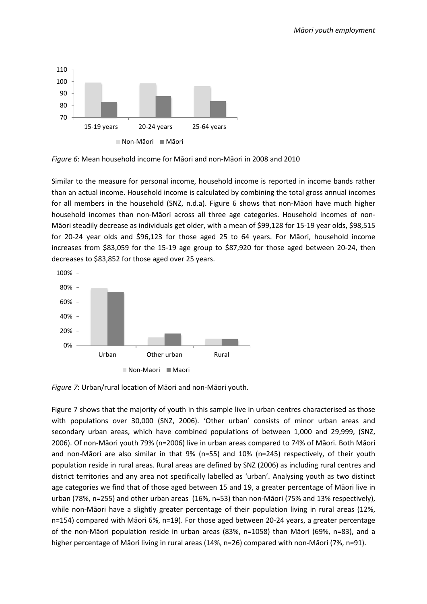

*Figure 6*: Mean household income for Māori and non-Māori in 2008 and 2010

Similar to the measure for personal income, household income is reported in income bands rather than an actual income. Household income is calculated by combining the total gross annual incomes for all members in the household (SNZ, n.d.a). Figure 6 shows that non-Māori have much higher household incomes than non-Māori across all three age categories. Household incomes of non-Māori steadily decrease as individuals get older, with a mean of \$99,128 for 15-19 year olds, \$98,515 for 20-24 year olds and \$96,123 for those aged 25 to 64 years. For Māori, household income increases from \$83,059 for the 15-19 age group to \$87,920 for those aged between 20-24, then decreases to \$83,852 for those aged over 25 years.



*Figure 7*: Urban/rural location of Māori and non-Māori youth.

Figure 7 shows that the majority of youth in this sample live in urban centres characterised as those with populations over 30,000 (SNZ, 2006). 'Other urban' consists of minor urban areas and secondary urban areas, which have combined populations of between 1,000 and 29,999, (SNZ, 2006). Of non-Māori youth 79% (n=2006) live in urban areas compared to 74% of Māori. Both Māori and non-Māori are also similar in that 9% (n=55) and 10% (n=245) respectively, of their youth population reside in rural areas. Rural areas are defined by SNZ (2006) as including rural centres and district territories and any area not specifically labelled as 'urban'. Analysing youth as two distinct age categories we find that of those aged between 15 and 19, a greater percentage of Māori live in urban (78%, n=255) and other urban areas (16%, n=53) than non-Māori (75% and 13% respectively), while non-Māori have a slightly greater percentage of their population living in rural areas (12%, n=154) compared with Māori 6%, n=19). For those aged between 20-24 years, a greater percentage of the non-Māori population reside in urban areas (83%, n=1058) than Māori (69%, n=83), and a higher percentage of Māori living in rural areas (14%, n=26) compared with non-Māori (7%, n=91).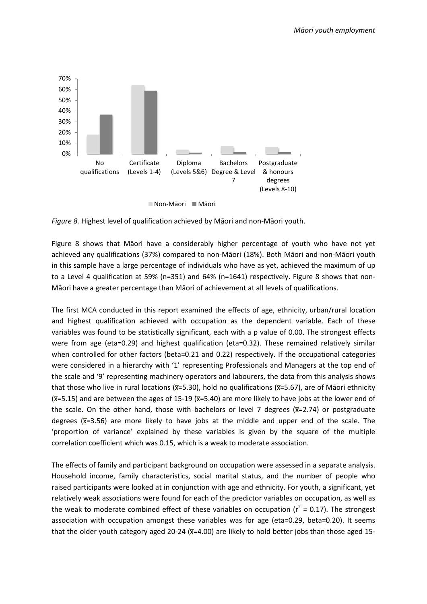

*Figure 8.* Highest level of qualification achieved by Māori and non-Māori youth.

Figure 8 shows that Māori have a considerably higher percentage of youth who have not yet achieved any qualifications (37%) compared to non-Māori (18%). Both Māori and non-Māori youth in this sample have a large percentage of individuals who have as yet, achieved the maximum of up to a Level 4 qualification at 59% (n=351) and 64% (n=1641) respectively. Figure 8 shows that non-Māori have a greater percentage than Māori of achievement at all levels of qualifications.

The first MCA conducted in this report examined the effects of age, ethnicity, urban/rural location and highest qualification achieved with occupation as the dependent variable. Each of these variables was found to be statistically significant, each with a p value of 0.00. The strongest effects were from age (eta=0.29) and highest qualification (eta=0.32). These remained relatively similar when controlled for other factors (beta=0.21 and 0.22) respectively. If the occupational categories were considered in a hierarchy with '1' representing Professionals and Managers at the top end of the scale and '9' representing machinery operators and labourers, the data from this analysis shows that those who live in rural locations (x=5.30), hold no qualifications (x=5.67), are of Māori ethnicity (x= ̅5.15) and are between the ages of 15-19 (x= ̅5.40) are more likely to have jobs at the lower end of the scale. On the other hand, those with bachelors or level 7 degrees (x=2.74) or postgraduate degrees  $(\overline{x}=3.56)$  are more likely to have jobs at the middle and upper end of the scale. The 'proportion of variance' explained by these variables is given by the square of the multiple correlation coefficient which was 0.15, which is a weak to moderate association.

The effects of family and participant background on occupation were assessed in a separate analysis. Household income, family characteristics, social marital status, and the number of people who raised participants were looked at in conjunction with age and ethnicity. For youth, a significant, yet relatively weak associations were found for each of the predictor variables on occupation, as well as the weak to moderate combined effect of these variables on occupation ( $r^2$  = 0.17). The strongest association with occupation amongst these variables was for age (eta=0.29, beta=0.20). It seems that the older youth category aged 20-24 (x=4.00) are likely to hold better jobs than those aged 15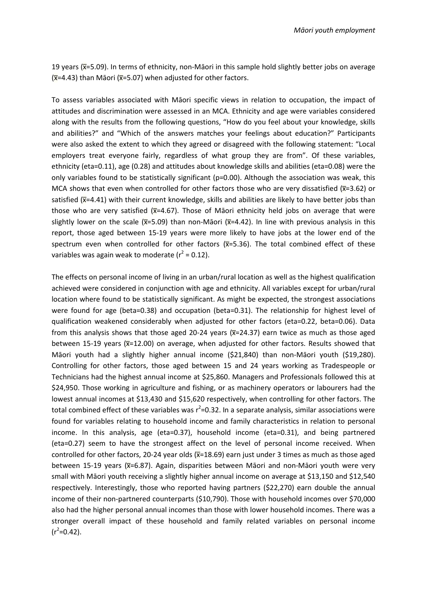19 years (x= ̅5.09). In terms of ethnicity, non-Māori in this sample hold slightly better jobs on average  $(\overline{x}$ =4.43) than Māori ( $\overline{x}$ =5.07) when adjusted for other factors.

To assess variables associated with Māori specific views in relation to occupation, the impact of attitudes and discrimination were assessed in an MCA. Ethnicity and age were variables considered along with the results from the following questions, "How do you feel about your knowledge, skills and abilities?" and "Which of the answers matches your feelings about education?" Participants were also asked the extent to which they agreed or disagreed with the following statement: "Local employers treat everyone fairly, regardless of what group they are from". Of these variables, ethnicity (eta=0.11), age (0.28) and attitudes about knowledge skills and abilities (eta=0.08) were the only variables found to be statistically significant ( $p=0.00$ ). Although the association was weak, this MCA shows that even when controlled for other factors those who are very dissatisfied ( $\overline{x}$ =3.62) or satisfied (x=4.41) with their current knowledge, skills and abilities are likely to have better jobs than those who are very satisfied ( $\overline{x}$ =4.67). Those of Māori ethnicity held jobs on average that were slightly lower on the scale ( $\overline{x}$ =5.09) than non-Māori ( $\overline{x}$ =4.42). In line with previous analysis in this report, those aged between 15-19 years were more likely to have jobs at the lower end of the spectrum even when controlled for other factors  $(\overline{x}=5.36)$ . The total combined effect of these variables was again weak to moderate ( $r^2$  = 0.12).

The effects on personal income of living in an urban/rural location as well as the highest qualification achieved were considered in conjunction with age and ethnicity. All variables except for urban/rural location where found to be statistically significant. As might be expected, the strongest associations were found for age (beta=0.38) and occupation (beta=0.31). The relationship for highest level of qualification weakened considerably when adjusted for other factors (eta=0.22, beta=0.06). Data from this analysis shows that those aged 20-24 years (x=24.37) earn twice as much as those aged between 15-19 years (x=12.00) on average, when adjusted for other factors. Results showed that Māori youth had a slightly higher annual income (\$21,840) than non-Māori youth (\$19,280). Controlling for other factors, those aged between 15 and 24 years working as Tradespeople or Technicians had the highest annual income at \$25,860. Managers and Professionals followed this at \$24,950. Those working in agriculture and fishing, or as machinery operators or labourers had the lowest annual incomes at \$13,430 and \$15,620 respectively, when controlling for other factors. The total combined effect of these variables was  $r^2$ =0.32. In a separate analysis, similar associations were found for variables relating to household income and family characteristics in relation to personal income. In this analysis, age (eta=0.37), household income (eta=0.31), and being partnered (eta=0.27) seem to have the strongest affect on the level of personal income received. When controlled for other factors, 20-24 year olds ( $\overline{x}$ =18.69) earn just under 3 times as much as those aged between 15-19 years (x=6.87). Again, disparities between Māori and non-Māori youth were very small with Māori youth receiving a slightly higher annual income on average at \$13,150 and \$12,540 respectively. Interestingly, those who reported having partners (\$22,270) earn double the annual income of their non-partnered counterparts (\$10,790). Those with household incomes over \$70,000 also had the higher personal annual incomes than those with lower household incomes. There was a stronger overall impact of these household and family related variables on personal income  $(r^2=0.42)$ .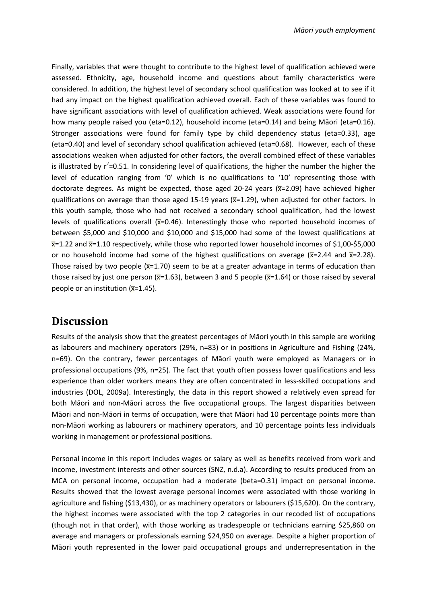Finally, variables that were thought to contribute to the highest level of qualification achieved were assessed. Ethnicity, age, household income and questions about family characteristics were considered. In addition, the highest level of secondary school qualification was looked at to see if it had any impact on the highest qualification achieved overall. Each of these variables was found to have significant associations with level of qualification achieved. Weak associations were found for how many people raised you (eta=0.12), household income (eta=0.14) and being Māori (eta=0.16). Stronger associations were found for family type by child dependency status (eta=0.33), age (eta=0.40) and level of secondary school qualification achieved (eta=0.68). However, each of these associations weaken when adjusted for other factors, the overall combined effect of these variables is illustrated by  $r^2$ =0.51. In considering level of qualifications, the higher the number the higher the level of education ranging from '0' which is no qualifications to '10' representing those with doctorate degrees. As might be expected, those aged 20-24 years (x=2.09) have achieved higher qualifications on average than those aged 15-19 years (x=1.29), when adjusted for other factors. In this youth sample, those who had not received a secondary school qualification, had the lowest levels of qualifications overall ( $\overline{x}$ =0.46). Interestingly those who reported household incomes of between \$5,000 and \$10,000 and \$10,000 and \$15,000 had some of the lowest qualifications at x= ̅1.22 and x= ̅1.10 respectively, while those who reported lower household incomes of \$1,00-\$5,000 or no household income had some of the highest qualifications on average ( $\overline{x}$ =2.44 and  $\overline{x}$ =2.28). Those raised by two people ( $\overline{x}$ =1.70) seem to be at a greater advantage in terms of education than those raised by just one person (x=1.63), between 3 and 5 people (x=1.64) or those raised by several people or an institution  $(\overline{x}=1.45)$ .

#### **Discussion**

Results of the analysis show that the greatest percentages of Māori youth in this sample are working as labourers and machinery operators (29%, n=83) or in positions in Agriculture and Fishing (24%, n=69). On the contrary, fewer percentages of Māori youth were employed as Managers or in professional occupations (9%, n=25). The fact that youth often possess lower qualifications and less experience than older workers means they are often concentrated in less-skilled occupations and industries (DOL, 2009a). Interestingly, the data in this report showed a relatively even spread for both Māori and non-Māori across the five occupational groups. The largest disparities between Māori and non-Māori in terms of occupation, were that Māori had 10 percentage points more than non-Māori working as labourers or machinery operators, and 10 percentage points less individuals working in management or professional positions.

Personal income in this report includes wages or salary as well as benefits received from work and income, investment interests and other sources (SNZ, n.d.a). According to results produced from an MCA on personal income, occupation had a moderate (beta=0.31) impact on personal income. Results showed that the lowest average personal incomes were associated with those working in agriculture and fishing (\$13,430), or as machinery operators or labourers (\$15,620). On the contrary, the highest incomes were associated with the top 2 categories in our recoded list of occupations (though not in that order), with those working as tradespeople or technicians earning \$25,860 on average and managers or professionals earning \$24,950 on average. Despite a higher proportion of Māori youth represented in the lower paid occupational groups and underrepresentation in the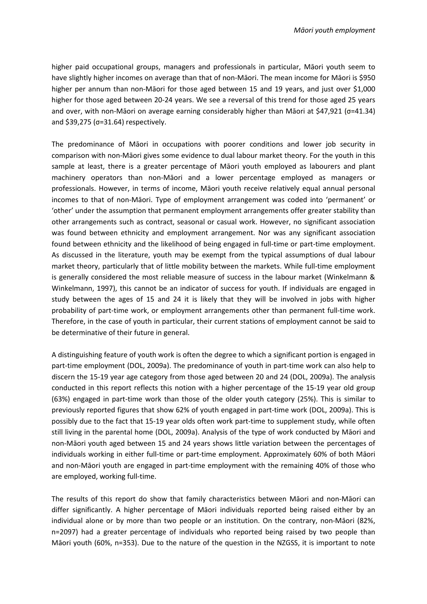higher paid occupational groups, managers and professionals in particular, Māori youth seem to have slightly higher incomes on average than that of non-Māori. The mean income for Māori is \$950 higher per annum than non-Māori for those aged between 15 and 19 years, and just over \$1,000 higher for those aged between 20-24 years. We see a reversal of this trend for those aged 25 years and over, with non-Māori on average earning considerably higher than Māori at \$47,921 ( $\sigma$ =41.34) and \$39,275 ( $\sigma$ =31.64) respectively.

The predominance of Māori in occupations with poorer conditions and lower job security in comparison with non-Māori gives some evidence to dual labour market theory. For the youth in this sample at least, there is a greater percentage of Māori youth employed as labourers and plant machinery operators than non-Māori and a lower percentage employed as managers or professionals. However, in terms of income, Māori youth receive relatively equal annual personal incomes to that of non-Māori. Type of employment arrangement was coded into 'permanent' or 'other' under the assumption that permanent employment arrangements offer greater stability than other arrangements such as contract, seasonal or casual work. However, no significant association was found between ethnicity and employment arrangement. Nor was any significant association found between ethnicity and the likelihood of being engaged in full-time or part-time employment. As discussed in the literature, youth may be exempt from the typical assumptions of dual labour market theory, particularly that of little mobility between the markets. While full-time employment is generally considered the most reliable measure of success in the labour market (Winkelmann & Winkelmann, 1997), this cannot be an indicator of success for youth. If individuals are engaged in study between the ages of 15 and 24 it is likely that they will be involved in jobs with higher probability of part-time work, or employment arrangements other than permanent full-time work. Therefore, in the case of youth in particular, their current stations of employment cannot be said to be determinative of their future in general.

A distinguishing feature of youth work is often the degree to which a significant portion is engaged in part-time employment (DOL, 2009a). The predominance of youth in part-time work can also help to discern the 15-19 year age category from those aged between 20 and 24 (DOL, 2009a). The analysis conducted in this report reflects this notion with a higher percentage of the 15-19 year old group (63%) engaged in part-time work than those of the older youth category (25%). This is similar to previously reported figures that show 62% of youth engaged in part-time work (DOL, 2009a). This is possibly due to the fact that 15-19 year olds often work part-time to supplement study, while often still living in the parental home (DOL, 2009a). Analysis of the type of work conducted by Māori and non-Māori youth aged between 15 and 24 years shows little variation between the percentages of individuals working in either full-time or part-time employment. Approximately 60% of both Māori and non-Māori youth are engaged in part-time employment with the remaining 40% of those who are employed, working full-time.

The results of this report do show that family characteristics between Māori and non-Māori can differ significantly. A higher percentage of Māori individuals reported being raised either by an individual alone or by more than two people or an institution. On the contrary, non-Māori (82%, n=2097) had a greater percentage of individuals who reported being raised by two people than Māori youth (60%, n=353). Due to the nature of the question in the NZGSS, it is important to note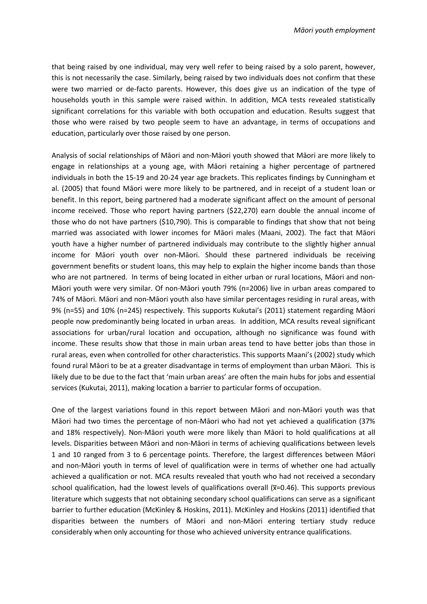that being raised by one individual, may very well refer to being raised by a solo parent, however, this is not necessarily the case. Similarly, being raised by two individuals does not confirm that these were two married or de-facto parents. However, this does give us an indication of the type of households youth in this sample were raised within. In addition, MCA tests revealed statistically significant correlations for this variable with both occupation and education. Results suggest that those who were raised by two people seem to have an advantage, in terms of occupations and education, particularly over those raised by one person.

Analysis of social relationships of Māori and non-Māori youth showed that Māori are more likely to engage in relationships at a young age, with Māori retaining a higher percentage of partnered individuals in both the 15-19 and 20-24 year age brackets. This replicates findings by Cunningham et al. (2005) that found Māori were more likely to be partnered, and in receipt of a student loan or benefit. In this report, being partnered had a moderate significant affect on the amount of personal income received. Those who report having partners (\$22,270) earn double the annual income of those who do not have partners (\$10,790). This is comparable to findings that show that not being married was associated with lower incomes for Māori males (Maani, 2002). The fact that Māori youth have a higher number of partnered individuals may contribute to the slightly higher annual income for Māori youth over non-Māori. Should these partnered individuals be receiving government benefits or student loans, this may help to explain the higher income bands than those who are not partnered. In terms of being located in either urban or rural locations, Māori and non-Māori youth were very similar. Of non-Māori youth 79% (n=2006) live in urban areas compared to 74% of Māori. Māori and non-Māori youth also have similar percentages residing in rural areas, with 9% (n=55) and 10% (n=245) respectively. This supports Kukutai's (2011) statement regarding Māori people now predominantly being located in urban areas. In addition, MCA results reveal significant associations for urban/rural location and occupation, although no significance was found with income. These results show that those in main urban areas tend to have better jobs than those in rural areas, even when controlled for other characteristics. This supports Maani's (2002) study which found rural Māori to be at a greater disadvantage in terms of employment than urban Māori. This is likely due to be due to the fact that 'main urban areas' are often the main hubs for jobs and essential services (Kukutai, 2011), making location a barrier to particular forms of occupation.

One of the largest variations found in this report between Māori and non-Māori youth was that Māori had two times the percentage of non-Māori who had not yet achieved a qualification (37% and 18% respectively). Non-Māori youth were more likely than Māori to hold qualifications at all levels. Disparities between Māori and non-Māori in terms of achieving qualifications between levels 1 and 10 ranged from 3 to 6 percentage points. Therefore, the largest differences between Māori and non-Māori youth in terms of level of qualification were in terms of whether one had actually achieved a qualification or not. MCA results revealed that youth who had not received a secondary school qualification, had the lowest levels of qualifications overall (x=0.46). This supports previous literature which suggests that not obtaining secondary school qualifications can serve as a significant barrier to further education (McKinley & Hoskins, 2011). McKinley and Hoskins (2011) identified that disparities between the numbers of Māori and non-Māori entering tertiary study reduce considerably when only accounting for those who achieved university entrance qualifications.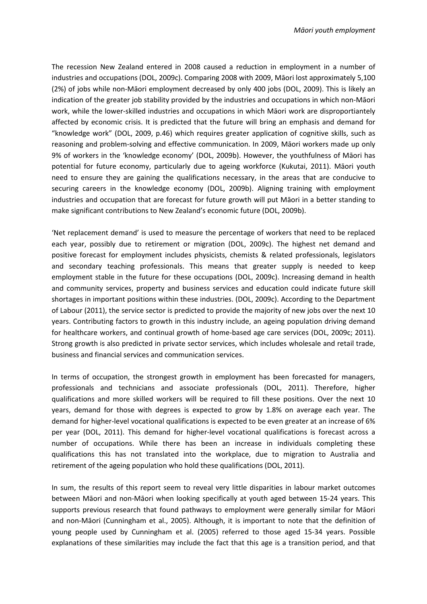The recession New Zealand entered in 2008 caused a reduction in employment in a number of industries and occupations (DOL, 2009c). Comparing 2008 with 2009, Māori lost approximately 5,100 (2%) of jobs while non-Māori employment decreased by only 400 jobs (DOL, 2009). This is likely an indication of the greater job stability provided by the industries and occupations in which non-Māori work, while the lower-skilled industries and occupations in which Māori work are disproportiantely affected by economic crisis. It is predicted that the future will bring an emphasis and demand for "knowledge work" (DOL, 2009, p.46) which requires greater application of cognitive skills, such as reasoning and problem-solving and effective communication. In 2009, Māori workers made up only 9% of workers in the 'knowledge economy' (DOL, 2009b). However, the youthfulness of Māori has potential for future economy, particularly due to ageing workforce (Kukutai, 2011). Māori youth need to ensure they are gaining the qualifications necessary, in the areas that are conducive to securing careers in the knowledge economy (DOL, 2009b). Aligning training with employment industries and occupation that are forecast for future growth will put Māori in a better standing to make significant contributions to New Zealand's economic future (DOL, 2009b).

'Net replacement demand' is used to measure the percentage of workers that need to be replaced each year, possibly due to retirement or migration (DOL, 2009c). The highest net demand and positive forecast for employment includes physicists, chemists & related professionals, legislators and secondary teaching professionals. This means that greater supply is needed to keep employment stable in the future for these occupations (DOL, 2009c). Increasing demand in health and community services, property and business services and education could indicate future skill shortages in important positions within these industries. (DOL, 2009c). According to the Department of Labour (2011), the service sector is predicted to provide the majority of new jobs over the next 10 years. Contributing factors to growth in this industry include, an ageing population driving demand for healthcare workers, and continual growth of home-based age care services (DOL, 2009c; 2011). Strong growth is also predicted in private sector services, which includes wholesale and retail trade, business and financial services and communication services.

In terms of occupation, the strongest growth in employment has been forecasted for managers, professionals and technicians and associate professionals (DOL, 2011). Therefore, higher qualifications and more skilled workers will be required to fill these positions. Over the next 10 years, demand for those with degrees is expected to grow by 1.8% on average each year. The demand for higher-level vocational qualifications is expected to be even greater at an increase of 6% per year (DOL, 2011). This demand for higher-level vocational qualifications is forecast across a number of occupations. While there has been an increase in individuals completing these qualifications this has not translated into the workplace, due to migration to Australia and retirement of the ageing population who hold these qualifications (DOL, 2011).

In sum, the results of this report seem to reveal very little disparities in labour market outcomes between Māori and non-Māori when looking specifically at youth aged between 15-24 years. This supports previous research that found pathways to employment were generally similar for Māori and non-Māori (Cunningham et al., 2005). Although, it is important to note that the definition of young people used by Cunningham et al. (2005) referred to those aged 15-34 years. Possible explanations of these similarities may include the fact that this age is a transition period, and that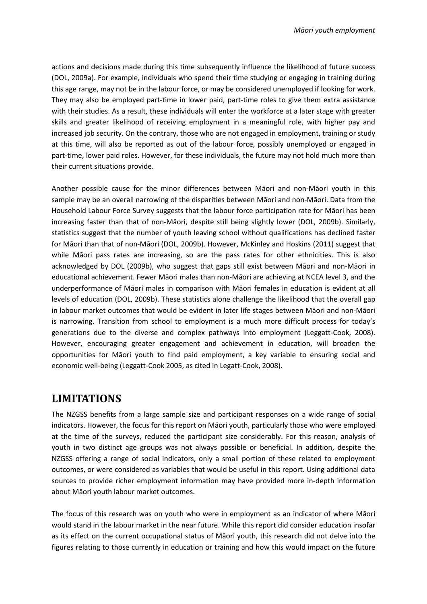actions and decisions made during this time subsequently influence the likelihood of future success (DOL, 2009a). For example, individuals who spend their time studying or engaging in training during this age range, may not be in the labour force, or may be considered unemployed if looking for work. They may also be employed part-time in lower paid, part-time roles to give them extra assistance with their studies. As a result, these individuals will enter the workforce at a later stage with greater skills and greater likelihood of receiving employment in a meaningful role, with higher pay and increased job security. On the contrary, those who are not engaged in employment, training or study at this time, will also be reported as out of the labour force, possibly unemployed or engaged in part-time, lower paid roles. However, for these individuals, the future may not hold much more than their current situations provide.

Another possible cause for the minor differences between Māori and non-Māori youth in this sample may be an overall narrowing of the disparities between Māori and non-Māori. Data from the Household Labour Force Survey suggests that the labour force participation rate for Māori has been increasing faster than that of non-Māori, despite still being slightly lower (DOL, 2009b). Similarly, statistics suggest that the number of youth leaving school without qualifications has declined faster for Māori than that of non-Māori (DOL, 2009b). However, McKinley and Hoskins (2011) suggest that while Māori pass rates are increasing, so are the pass rates for other ethnicities. This is also acknowledged by DOL (2009b), who suggest that gaps still exist between Māori and non-Māori in educational achievement. Fewer Māori males than non-Māori are achieving at NCEA level 3, and the underperformance of Māori males in comparison with Māori females in education is evident at all levels of education (DOL, 2009b). These statistics alone challenge the likelihood that the overall gap in labour market outcomes that would be evident in later life stages between Māori and non-Māori is narrowing. Transition from school to employment is a much more difficult process for today's generations due to the diverse and complex pathways into employment (Leggatt-Cook, 2008). However, encouraging greater engagement and achievement in education, will broaden the opportunities for Māori youth to find paid employment, a key variable to ensuring social and economic well-being (Leggatt-Cook 2005, as cited in Legatt-Cook, 2008).

## **LIMITATIONS**

The NZGSS benefits from a large sample size and participant responses on a wide range of social indicators. However, the focus for this report on Māori youth, particularly those who were employed at the time of the surveys, reduced the participant size considerably. For this reason, analysis of youth in two distinct age groups was not always possible or beneficial. In addition, despite the NZGSS offering a range of social indicators, only a small portion of these related to employment outcomes, or were considered as variables that would be useful in this report. Using additional data sources to provide richer employment information may have provided more in-depth information about Māori youth labour market outcomes.

The focus of this research was on youth who were in employment as an indicator of where Māori would stand in the labour market in the near future. While this report did consider education insofar as its effect on the current occupational status of Māori youth, this research did not delve into the figures relating to those currently in education or training and how this would impact on the future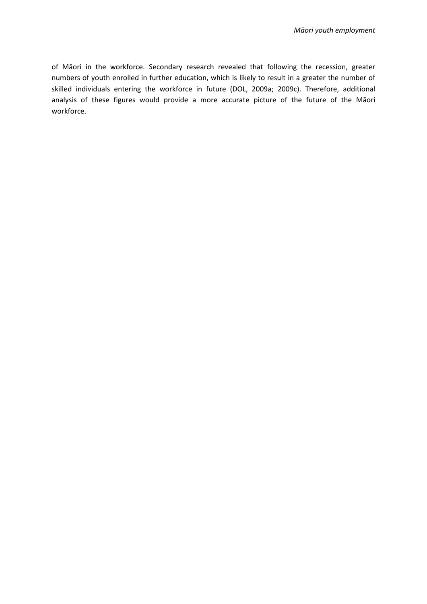of Māori in the workforce. Secondary research revealed that following the recession, greater numbers of youth enrolled in further education, which is likely to result in a greater the number of skilled individuals entering the workforce in future (DOL, 2009a; 2009c). Therefore, additional analysis of these figures would provide a more accurate picture of the future of the Māori workforce.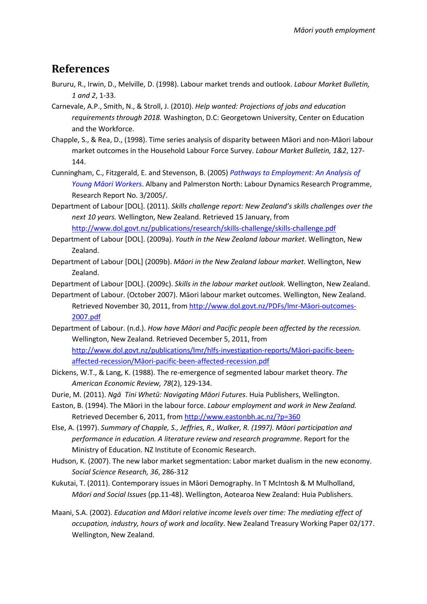#### **References**

- Bururu, R., Irwin, D., Melville, D. (1998). Labour market trends and outlook. *Labour Market Bulletin, 1 and 2*, 1-33.
- Carnevale, A.P., Smith, N., & Stroll, J. (2010). *Help wanted: Projections of jobs and education requirements through 2018.* Washington, D.C: Georgetown University, Center on Education and the Workforce.
- Chapple, S., & Rea, D., (1998). Time series analysis of disparity between Māori and non-Māori labour market outcomes in the Household Labour Force Survey. *Labour Market Bulletin, 1&2*, 127- 144.
- Cunningham, C., Fitzgerald, E. and Stevenson, B. (2005) *[Pathways to Employment: An Analysis of](http://lmd.massey.ac.nz/publications/Research%20reports/Pathways%20-%20Young%20Maori%202006.3.pdf)  [Young Māori](http://lmd.massey.ac.nz/publications/Research%20reports/Pathways%20-%20Young%20Maori%202006.3.pdf) Workers*. Albany and Palmerston North: Labour Dynamics Research Programme, Research Report No. 3/2005/.
- Department of Labour [DOL]. (2011). *Skills challenge report: New Zealand's skills challenges over the next 10 years.* Wellington, New Zealand. Retrieved 15 January, from <http://www.dol.govt.nz/publications/research/skills-challenge/skills-challenge.pdf>
- Department of Labour [DOL]. (2009a). *Youth in the New Zealand labour market*. Wellington, New Zealand.
- Department of Labour [DOL] (2009b). *Māori in the New Zealand labour market*. Wellington, New Zealand.

Department of Labour [DOL]. (2009c). *Skills in the labour market outlook.* Wellington, New Zealand.

- Department of Labour. (October 2007). Māori labour market outcomes. Wellington, New Zealand. Retrieved November 30, 2011, from [http://www.dol.govt.nz/PDFs/lmr-](http://www.dol.govt.nz/PDFs/lmr-maori-outcomes-2007.pdf)Māori-outcomes-[2007.pdf](http://www.dol.govt.nz/PDFs/lmr-maori-outcomes-2007.pdf)
- Department of Labour. (n.d.). *How have Māori and Pacific people been affected by the recession.* Wellington, New Zealand. Retrieved December 5, 2011, from [http://www.dol.govt.nz/publications/lmr/hlfs-investigation-](http://www.dol.govt.nz/publications/lmr/hlfs-investigation-reports/maori-pacific-been-affected-recession/maori-pacific-been-affected-recession.pdf)reports/Māori-pacific-beenaffected-recession/Māori[-pacific-been-affected-recession.pdf](http://www.dol.govt.nz/publications/lmr/hlfs-investigation-reports/maori-pacific-been-affected-recession/maori-pacific-been-affected-recession.pdf)
- Dickens, W.T., & Lang, K. (1988). The re-emergence of segmented labour market theory. *The American Economic Review, 78*(2), 129-134.
- Durie, M. (2011). *Ngā Tini Whetū: Navigating Māori Futures*. Huia Publishers, Wellington.
- Easton, B. (1994). The Māori in the labour force. *Labour employment and work in New Zealand.*  Retrieved December 6, 2011, from <http://www.eastonbh.ac.nz/?p=360>
- Else, A. (1997). *Summary of Chapple, S., Jeffries, R., Walker, R. (1997). Māori participation and performance in education. A literature review and research programme*. Report for the Ministry of Education. NZ Institute of Economic Research.
- Hudson, K. (2007). The new labor market segmentation: Labor market dualism in the new economy. *Social Science Research, 36*, 286-312
- Kukutai, T. (2011). Contemporary issues in Māori Demography. In T McIntosh & M Mulholland, *Māori and Social Issues* (pp.11-48). Wellington, Aotearoa New Zealand: Huia Publishers.
- Maani, S.A. (2002). *Education and Māori relative income levels over time: The mediating effect of occupation, industry, hours of work and locality*. New Zealand Treasury Working Paper 02/177. Wellington, New Zealand.